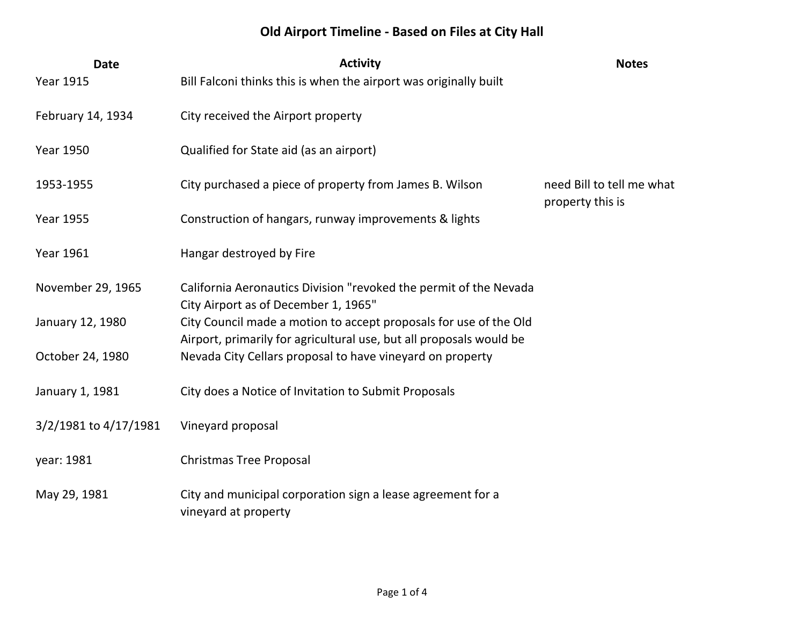## **Old Airport Timeline - Based on Files at City Hall**

| <b>Date</b>           | <b>Activity</b>                                                                                                                          | <b>Notes</b>                                  |
|-----------------------|------------------------------------------------------------------------------------------------------------------------------------------|-----------------------------------------------|
| <b>Year 1915</b>      | Bill Falconi thinks this is when the airport was originally built                                                                        |                                               |
| February 14, 1934     | City received the Airport property                                                                                                       |                                               |
| <b>Year 1950</b>      | Qualified for State aid (as an airport)                                                                                                  |                                               |
| 1953-1955             | City purchased a piece of property from James B. Wilson                                                                                  | need Bill to tell me what<br>property this is |
| <b>Year 1955</b>      | Construction of hangars, runway improvements & lights                                                                                    |                                               |
| Year 1961             | Hangar destroyed by Fire                                                                                                                 |                                               |
| November 29, 1965     | California Aeronautics Division "revoked the permit of the Nevada<br>City Airport as of December 1, 1965"                                |                                               |
| January 12, 1980      | City Council made a motion to accept proposals for use of the Old<br>Airport, primarily for agricultural use, but all proposals would be |                                               |
| October 24, 1980      | Nevada City Cellars proposal to have vineyard on property                                                                                |                                               |
| January 1, 1981       | City does a Notice of Invitation to Submit Proposals                                                                                     |                                               |
| 3/2/1981 to 4/17/1981 | Vineyard proposal                                                                                                                        |                                               |
| year: 1981            | <b>Christmas Tree Proposal</b>                                                                                                           |                                               |
| May 29, 1981          | City and municipal corporation sign a lease agreement for a<br>vineyard at property                                                      |                                               |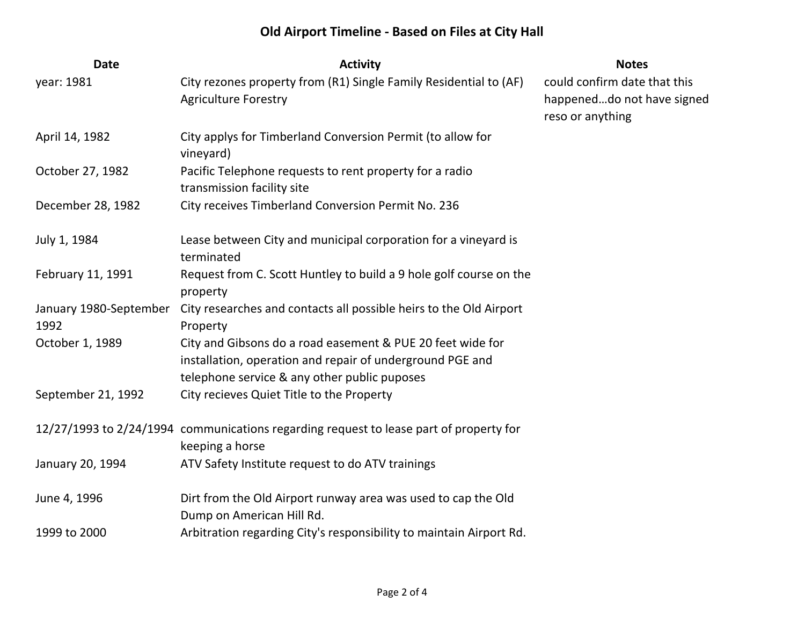## **Old Airport Timeline - Based on Files at City Hall**

| <b>Date</b>                    | <b>Activity</b>                                                                                                                                                         | <b>Notes</b>                                                                   |
|--------------------------------|-------------------------------------------------------------------------------------------------------------------------------------------------------------------------|--------------------------------------------------------------------------------|
| year: 1981                     | City rezones property from (R1) Single Family Residential to (AF)<br><b>Agriculture Forestry</b>                                                                        | could confirm date that this<br>happeneddo not have signed<br>reso or anything |
| April 14, 1982                 | City applys for Timberland Conversion Permit (to allow for<br>vineyard)                                                                                                 |                                                                                |
| October 27, 1982               | Pacific Telephone requests to rent property for a radio<br>transmission facility site                                                                                   |                                                                                |
| December 28, 1982              | City receives Timberland Conversion Permit No. 236                                                                                                                      |                                                                                |
| July 1, 1984                   | Lease between City and municipal corporation for a vineyard is<br>terminated                                                                                            |                                                                                |
| February 11, 1991              | Request from C. Scott Huntley to build a 9 hole golf course on the<br>property                                                                                          |                                                                                |
| January 1980-September<br>1992 | City researches and contacts all possible heirs to the Old Airport<br>Property                                                                                          |                                                                                |
| October 1, 1989                | City and Gibsons do a road easement & PUE 20 feet wide for<br>installation, operation and repair of underground PGE and<br>telephone service & any other public puposes |                                                                                |
| September 21, 1992             | City recieves Quiet Title to the Property                                                                                                                               |                                                                                |
|                                | 12/27/1993 to 2/24/1994 communications regarding request to lease part of property for<br>keeping a horse                                                               |                                                                                |
| January 20, 1994               | ATV Safety Institute request to do ATV trainings                                                                                                                        |                                                                                |
| June 4, 1996                   | Dirt from the Old Airport runway area was used to cap the Old<br>Dump on American Hill Rd.                                                                              |                                                                                |
| 1999 to 2000                   | Arbitration regarding City's responsibility to maintain Airport Rd.                                                                                                     |                                                                                |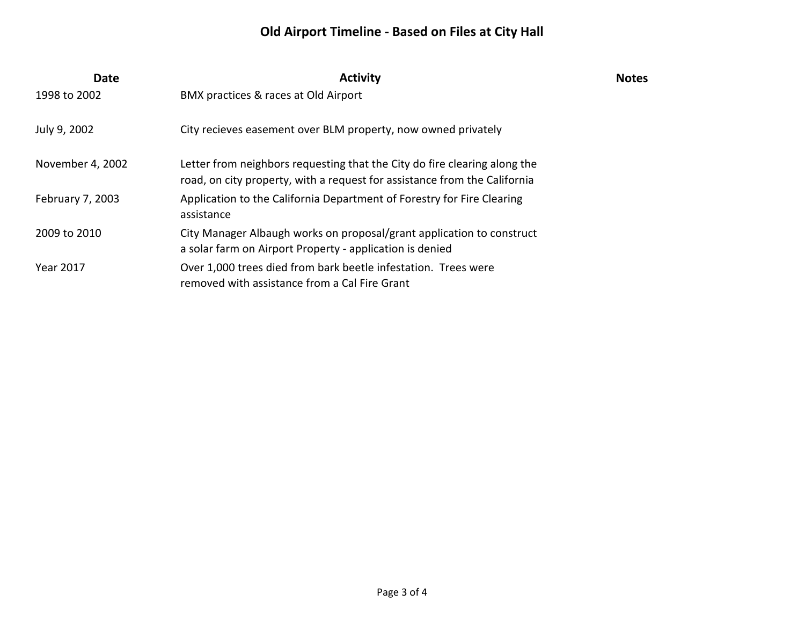## **Old Airport Timeline - Based on Files at City Hall**

| <b>Date</b>      | <b>Activity</b>                                                                                                                                        | <b>Notes</b> |
|------------------|--------------------------------------------------------------------------------------------------------------------------------------------------------|--------------|
| 1998 to 2002     | BMX practices & races at Old Airport                                                                                                                   |              |
| July 9, 2002     | City recieves easement over BLM property, now owned privately                                                                                          |              |
| November 4, 2002 | Letter from neighbors requesting that the City do fire clearing along the<br>road, on city property, with a request for assistance from the California |              |
| February 7, 2003 | Application to the California Department of Forestry for Fire Clearing<br>assistance                                                                   |              |
| 2009 to 2010     | City Manager Albaugh works on proposal/grant application to construct<br>a solar farm on Airport Property - application is denied                      |              |
| <b>Year 2017</b> | Over 1,000 trees died from bark beetle infestation. Trees were<br>removed with assistance from a Cal Fire Grant                                        |              |